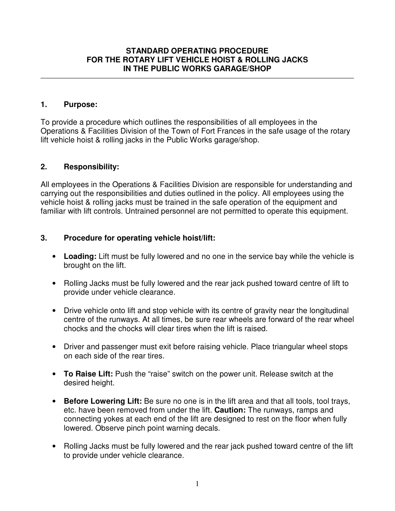#### **STANDARD OPERATING PROCEDURE FOR THE ROTARY LIFT VEHICLE HOIST & ROLLING JACKS IN THE PUBLIC WORKS GARAGE/SHOP**

#### **1. Purpose:**

To provide a procedure which outlines the responsibilities of all employees in the Operations & Facilities Division of the Town of Fort Frances in the safe usage of the rotary lift vehicle hoist & rolling jacks in the Public Works garage/shop.

### **2. Responsibility:**

All employees in the Operations & Facilities Division are responsible for understanding and carrying out the responsibilities and duties outlined in the policy. All employees using the vehicle hoist & rolling jacks must be trained in the safe operation of the equipment and familiar with lift controls. Untrained personnel are not permitted to operate this equipment.

### **3. Procedure for operating vehicle hoist/lift:**

- **Loading:** Lift must be fully lowered and no one in the service bay while the vehicle is brought on the lift.
- Rolling Jacks must be fully lowered and the rear jack pushed toward centre of lift to provide under vehicle clearance.
- Drive vehicle onto lift and stop vehicle with its centre of gravity near the longitudinal centre of the runways. At all times, be sure rear wheels are forward of the rear wheel chocks and the chocks will clear tires when the lift is raised.
- Driver and passenger must exit before raising vehicle. Place triangular wheel stops on each side of the rear tires.
- **To Raise Lift:** Push the "raise" switch on the power unit. Release switch at the desired height.
- **Before Lowering Lift:** Be sure no one is in the lift area and that all tools, tool trays, etc. have been removed from under the lift. **Caution:** The runways, ramps and connecting yokes at each end of the lift are designed to rest on the floor when fully lowered. Observe pinch point warning decals.
- Rolling Jacks must be fully lowered and the rear jack pushed toward centre of the lift to provide under vehicle clearance.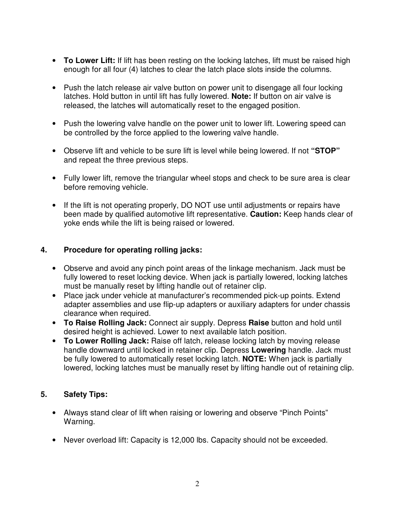- **To Lower Lift:** If lift has been resting on the locking latches, lift must be raised high enough for all four (4) latches to clear the latch place slots inside the columns.
- Push the latch release air valve button on power unit to disengage all four locking latches. Hold button in until lift has fully lowered. **Note:** If button on air valve is released, the latches will automatically reset to the engaged position.
- Push the lowering valve handle on the power unit to lower lift. Lowering speed can be controlled by the force applied to the lowering valve handle.
- Observe lift and vehicle to be sure lift is level while being lowered. If not **"STOP"**  and repeat the three previous steps.
- Fully lower lift, remove the triangular wheel stops and check to be sure area is clear before removing vehicle.
- If the lift is not operating properly, DO NOT use until adjustments or repairs have been made by qualified automotive lift representative. **Caution:** Keep hands clear of yoke ends while the lift is being raised or lowered.

## **4. Procedure for operating rolling jacks:**

- Observe and avoid any pinch point areas of the linkage mechanism. Jack must be fully lowered to reset locking device. When jack is partially lowered, locking latches must be manually reset by lifting handle out of retainer clip.
- Place jack under vehicle at manufacturer's recommended pick-up points. Extend adapter assemblies and use flip-up adapters or auxiliary adapters for under chassis clearance when required.
- **To Raise Rolling Jack:** Connect air supply. Depress **Raise** button and hold until desired height is achieved. Lower to next available latch position.
- **To Lower Rolling Jack:** Raise off latch, release locking latch by moving release handle downward until locked in retainer clip. Depress **Lowering** handle. Jack must be fully lowered to automatically reset locking latch. **NOTE:** When jack is partially lowered, locking latches must be manually reset by lifting handle out of retaining clip.

# **5. Safety Tips:**

- Always stand clear of lift when raising or lowering and observe "Pinch Points" Warning.
- Never overload lift: Capacity is 12,000 lbs. Capacity should not be exceeded.